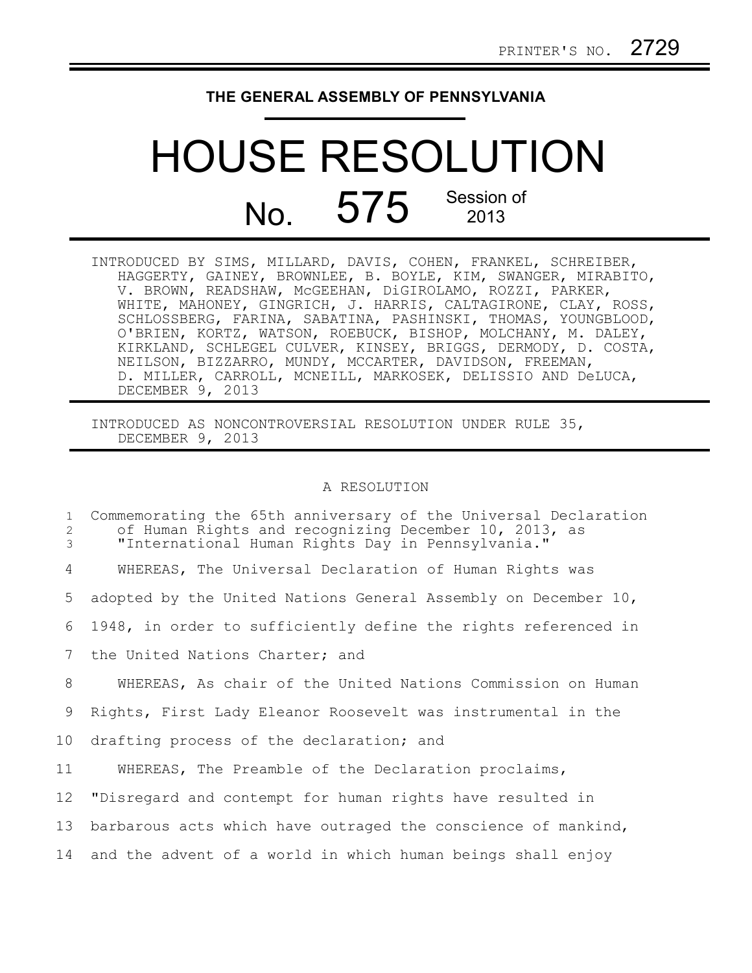## **THE GENERAL ASSEMBLY OF PENNSYLVANIA**

## HOUSE RESOLUTION No. 575 Session of

INTRODUCED BY SIMS, MILLARD, DAVIS, COHEN, FRANKEL, SCHREIBER, HAGGERTY, GAINEY, BROWNLEE, B. BOYLE, KIM, SWANGER, MIRABITO, V. BROWN, READSHAW, McGEEHAN, DiGIROLAMO, ROZZI, PARKER, WHITE, MAHONEY, GINGRICH, J. HARRIS, CALTAGIRONE, CLAY, ROSS, SCHLOSSBERG, FARINA, SABATINA, PASHINSKI, THOMAS, YOUNGBLOOD, O'BRIEN, KORTZ, WATSON, ROEBUCK, BISHOP, MOLCHANY, M. DALEY, KIRKLAND, SCHLEGEL CULVER, KINSEY, BRIGGS, DERMODY, D. COSTA, NEILSON, BIZZARRO, MUNDY, MCCARTER, DAVIDSON, FREEMAN, D. MILLER, CARROLL, MCNEILL, MARKOSEK, DELISSIO AND DeLUCA, DECEMBER 9, 2013

INTRODUCED AS NONCONTROVERSIAL RESOLUTION UNDER RULE 35, DECEMBER 9, 2013

## A RESOLUTION

| $\mathbf{1}$<br>2<br>3 | Commemorating the 65th anniversary of the Universal Declaration<br>of Human Rights and recognizing December 10, 2013, as<br>"International Human Rights Day in Pennsylvania." |
|------------------------|-------------------------------------------------------------------------------------------------------------------------------------------------------------------------------|
| 4                      | WHEREAS, The Universal Declaration of Human Rights was                                                                                                                        |
| 5                      | adopted by the United Nations General Assembly on December 10,                                                                                                                |
| 6                      | 1948, in order to sufficiently define the rights referenced in                                                                                                                |
| 7                      | the United Nations Charter; and                                                                                                                                               |
| 8                      | WHEREAS, As chair of the United Nations Commission on Human                                                                                                                   |
| 9                      | Rights, First Lady Eleanor Roosevelt was instrumental in the                                                                                                                  |
| 10                     | drafting process of the declaration; and                                                                                                                                      |
| 11                     | WHEREAS, The Preamble of the Declaration proclaims,                                                                                                                           |
| 12                     | "Disregard and contempt for human rights have resulted in                                                                                                                     |
| 13                     | barbarous acts which have outraged the conscience of mankind,                                                                                                                 |
| 14                     | and the advent of a world in which human beings shall enjoy                                                                                                                   |